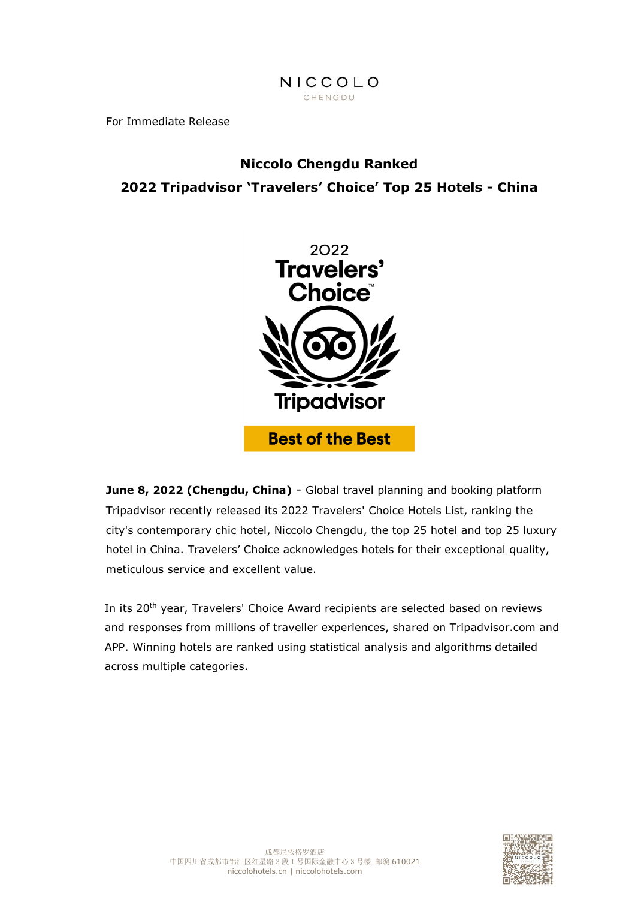## NICCOLO CHENGDU

For Immediate Release

# **Niccolo Chengdu Ranked 2022 Tripadvisor 'Travelers' Choice' Top 25 Hotels - China**



**June 8, 2022 (Chengdu, China)** - Global travel planning and booking platform Tripadvisor recently released its 2022 Travelers' Choice Hotels List, ranking the city's contemporary chic hotel, Niccolo Chengdu, the top 25 hotel and top 25 luxury hotel in China. Travelers' Choice acknowledges hotels for their exceptional quality, meticulous service and excellent value.

In its 20<sup>th</sup> year, Travelers' Choice Award recipients are selected based on reviews and responses from millions of traveller experiences, shared on Tripadvisor.com and APP. Winning hotels are ranked using statistical analysis and algorithms detailed across multiple categories.

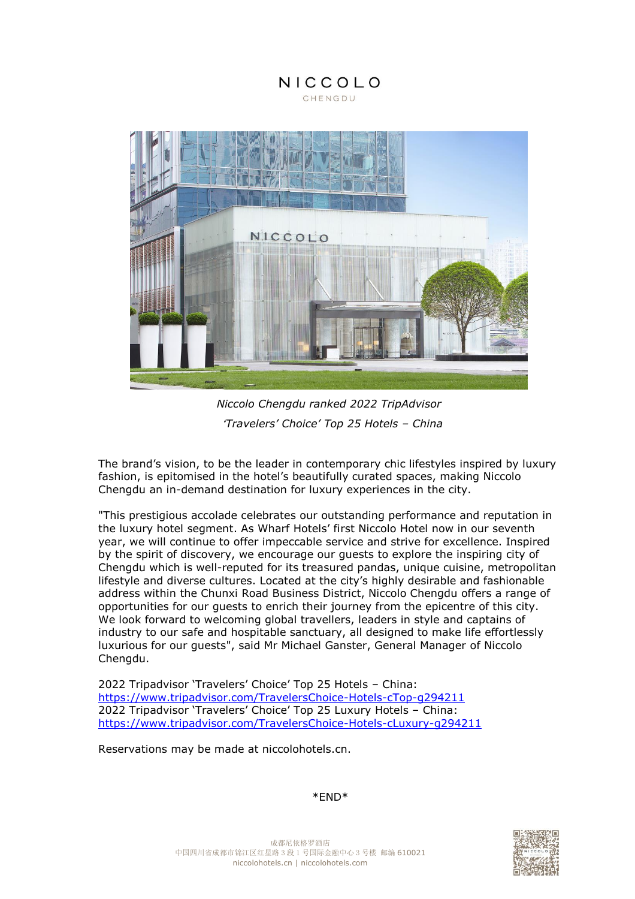# NICCOLO CHENGDU



*Niccolo Chengdu ranked 2022 TripAdvisor*  '*Travelers' Choice' Top 25 Hotels – China*

The brand's vision, to be the leader in contemporary chic lifestyles inspired by luxury fashion, is epitomised in the hotel's beautifully curated spaces, making Niccolo Chengdu an in-demand destination for luxury experiences in the city.

"This prestigious accolade celebrates our outstanding performance and reputation in the luxury hotel segment. As Wharf Hotels' first Niccolo Hotel now in our seventh year, we will continue to offer impeccable service and strive for excellence. Inspired by the spirit of discovery, we encourage our guests to explore the inspiring city of Chengdu which is well-reputed for its treasured pandas, unique cuisine, metropolitan lifestyle and diverse cultures. Located at the city's highly desirable and fashionable address within the Chunxi Road Business District, Niccolo Chengdu offers a range of opportunities for our guests to enrich their journey from the epicentre of this city. We look forward to welcoming global travellers, leaders in style and captains of industry to our safe and hospitable sanctuary, all designed to make life effortlessly luxurious for our guests", said Mr Michael Ganster, General Manager of Niccolo Chengdu.

2022 Tripadvisor 'Travelers' Choice' Top 25 Hotels – China: <https://www.tripadvisor.com/TravelersChoice-Hotels-cTop-g294211> 2022 Tripadvisor 'Travelers' Choice' Top 25 Luxury Hotels – China: <https://www.tripadvisor.com/TravelersChoice-Hotels-cLuxury-g294211>

Reservations may be made at niccolohotels.cn.

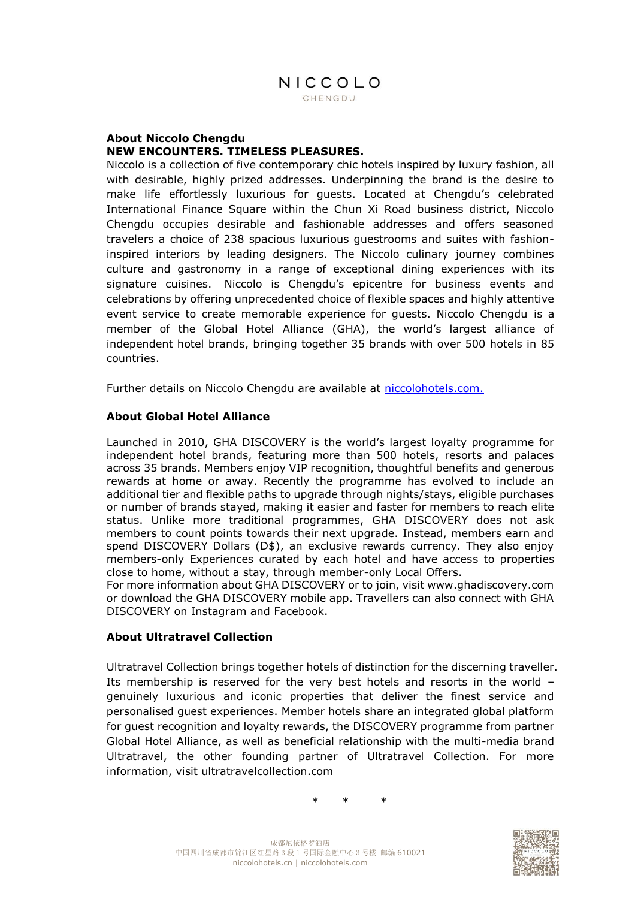#### **About Niccolo Chengdu NEW ENCOUNTERS. TIMELESS PLEASURES.**

Niccolo is a collection of five contemporary chic hotels inspired by luxury fashion, all with desirable, highly prized addresses. Underpinning the brand is the desire to make life effortlessly luxurious for guests. Located at Chengdu's celebrated International Finance Square within the Chun Xi Road business district, Niccolo Chengdu occupies desirable and fashionable addresses and offers seasoned travelers a choice of 238 spacious luxurious guestrooms and suites with fashioninspired interiors by leading designers. The Niccolo culinary journey combines culture and gastronomy in a range of exceptional dining experiences with its signature cuisines. Niccolo is Chengdu's epicentre for business events and celebrations by offering unprecedented choice of flexible spaces and highly attentive event service to create memorable experience for guests. Niccolo Chengdu is a member of the Global Hotel Alliance (GHA), the world's largest alliance of independent hotel brands, bringing together 35 brands with over 500 hotels in 85 countries.

Further details on Niccolo Chengdu are available at<niccolohotels.com.>

### **About Global Hotel Alliance**

Launched in 2010, GHA DISCOVERY is the world's largest loyalty programme for independent hotel brands, featuring more than 500 hotels, resorts and palaces across 35 brands. Members enjoy VIP recognition, thoughtful benefits and generous rewards at home or away. Recently the programme has evolved to include an additional tier and flexible paths to upgrade through nights/stays, eligible purchases or number of brands stayed, making it easier and faster for members to reach elite status. Unlike more traditional programmes, GHA DISCOVERY does not ask members to count points towards their next upgrade. Instead, members earn and spend DISCOVERY Dollars (D\$), an exclusive rewards currency. They also enjoy members-only Experiences curated by each hotel and have access to properties close to home, without a stay, through member-only Local Offers.

For more information about GHA DISCOVERY or to join, visit www.ghadiscovery.com or download the GHA DISCOVERY mobile app. Travellers can also connect with GHA DISCOVERY on Instagram and Facebook.

#### **About Ultratravel Collection**

Ultratravel Collection brings together hotels of distinction for the discerning traveller. Its membership is reserved for the very best hotels and resorts in the world – genuinely luxurious and iconic properties that deliver the finest service and personalised guest experiences. Member hotels share an integrated global platform for guest recognition and loyalty rewards, the DISCOVERY programme from partner Global Hotel Alliance, as well as beneficial relationship with the multi-media brand Ultratravel, the other founding partner of Ultratravel Collection. For more information, visit ultratravelcollection.com

\* \* \*